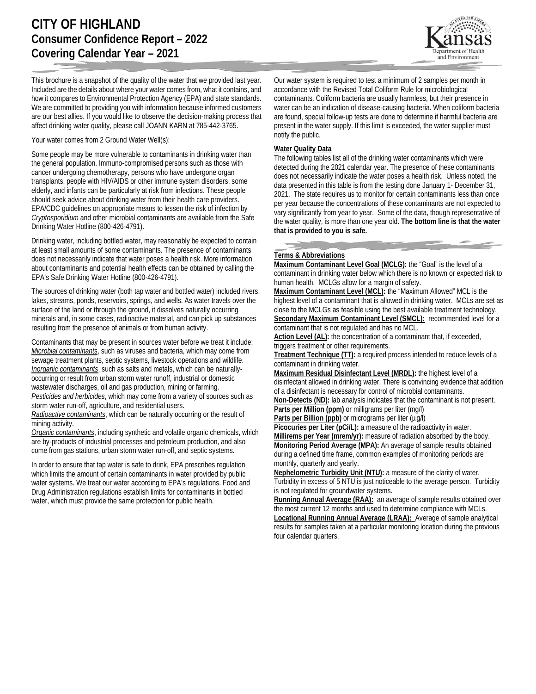This brochure is a snapshot of the quality of the water that we provided last year. Included are the details about where your water comes from, what it contains, and how it compares to Environmental Protection Agency (EPA) and state standards. We are committed to providing you with information because informed customers are our best allies. If you would like to observe the decision-making process that affect drinking water quality, please call JOANN KARN at 785-442-3765.

Your water comes from 2 Ground Water Well(s):

Some people may be more vulnerable to contaminants in drinking water than the general population. Immuno-compromised persons such as those with cancer undergoing chemotherapy, persons who have undergone organ transplants, people with HIV/AIDS or other immune system disorders, some elderly, and infants can be particularly at risk from infections. These people should seek advice about drinking water from their health care providers. EPA/CDC guidelines on appropriate means to lessen the risk of infection by *Cryptosporidium* and other microbial contaminants are available from the Safe Drinking Water Hotline (800-426-4791).

Drinking water, including bottled water, may reasonably be expected to contain at least small amounts of some contaminants. The presence of contaminants does not necessarily indicate that water poses a health risk. More information about contaminants and potential health effects can be obtained by calling the EPA's Safe Drinking Water Hotline (800-426-4791).

The sources of drinking water (both tap water and bottled water) included rivers, lakes, streams, ponds, reservoirs, springs, and wells. As water travels over the surface of the land or through the ground, it dissolves naturally occurring minerals and, in some cases, radioactive material, and can pick up substances resulting from the presence of animals or from human activity.

Contaminants that may be present in sources water before we treat it include: *Microbial contaminants*, such as viruses and bacteria, which may come from sewage treatment plants, septic systems, livestock operations and wildlife. *Inorganic contaminants*, such as salts and metals, which can be naturallyoccurring or result from urban storm water runoff, industrial or domestic wastewater discharges, oil and gas production, mining or farming. *Pesticides and herbicides*, which may come from a variety of sources such as storm water run-off, agriculture, and residential users.

*Radioactive contaminants*, which can be naturally occurring or the result of mining activity.

*Organic contaminants*, including synthetic and volatile organic chemicals, which are by-products of industrial processes and petroleum production, and also come from gas stations, urban storm water run-off, and septic systems.

In order to ensure that tap water is safe to drink, EPA prescribes regulation which limits the amount of certain contaminants in water provided by public water systems. We treat our water according to EPA's regulations. Food and Drug Administration regulations establish limits for contaminants in bottled water, which must provide the same protection for public health.

Our water system is required to test a minimum of 2 samples per month in accordance with the Revised Total Coliform Rule for microbiological contaminants. Coliform bacteria are usually harmless, but their presence in water can be an indication of disease-causing bacteria. When coliform bacteria are found, special follow-up tests are done to determine if harmful bacteria are present in the water supply. If this limit is exceeded, the water supplier must notify the public.

## **Water Quality Data**

The following tables list all of the drinking water contaminants which were detected during the 2021 calendar year. The presence of these contaminants does not necessarily indicate the water poses a health risk. Unless noted, the data presented in this table is from the testing done January 1- December 31, 2021. The state requires us to monitor for certain contaminants less than once per year because the concentrations of these contaminants are not expected to vary significantly from year to year. Some of the data, though representative of the water quality, is more than one year old. **The bottom line is that the water that is provided to you is safe.**

## **Terms & Abbreviations**

**Maximum Contaminant Level Goal (MCLG):** the "Goal" is the level of a contaminant in drinking water below which there is no known or expected risk to human health. MCLGs allow for a margin of safety.

**Maximum Contaminant Level (MCL):** the "Maximum Allowed" MCL is the highest level of a contaminant that is allowed in drinking water. MCLs are set as close to the MCLGs as feasible using the best available treatment technology. **Secondary Maximum Contaminant Level (SMCL):** recommended level for a contaminant that is not regulated and has no MCL.

Action Level (AL): the concentration of a contaminant that, if exceeded, triggers treatment or other requirements.

**Treatment Technique (TT):** a required process intended to reduce levels of a contaminant in drinking water.

**Maximum Residual Disinfectant Level (MRDL):** the highest level of a disinfectant allowed in drinking water. There is convincing evidence that addition of a disinfectant is necessary for control of microbial contaminants.

**Non-Detects (ND):** lab analysis indicates that the contaminant is not present. **Parts per Million (ppm)** or milligrams per liter (mg/l)

Parts per Billion (ppb) or micrograms per liter (µg/l)

**Picocuries per Liter (pCi/L):** a measure of the radioactivity in water.

**Millirems per Year (mrem/yr):** measure of radiation absorbed by the body. **Monitoring Period Average (MPA):** An average of sample results obtained during a defined time frame, common examples of monitoring periods are monthly, quarterly and yearly.

**Nephelometric Turbidity Unit (NTU):** a measure of the clarity of water. Turbidity in excess of 5 NTU is just noticeable to the average person. Turbidity is not regulated for groundwater systems.

**Running Annual Average (RAA):** an average of sample results obtained over the most current 12 months and used to determine compliance with MCLs.

**Locational Running Annual Average (LRAA):** Average of sample analytical results for samples taken at a particular monitoring location during the previous four calendar quarters.

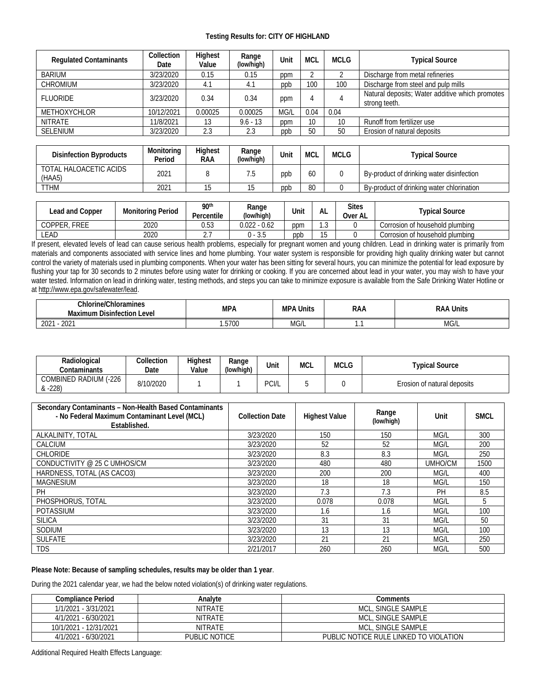## **Testing Results for: CITY OF HIGHLAND**

| <b>Regulated Contaminants</b> | Collection<br>Date | Highest<br>Value | Range<br>(low/high) | Unit | <b>MCL</b> | <b>MCLG</b> | <b>Typical Source</b>                                            |
|-------------------------------|--------------------|------------------|---------------------|------|------------|-------------|------------------------------------------------------------------|
| <b>BARIUM</b>                 | 3/23/2020          | 0.15             | 0.15                | ppm  |            |             | Discharge from metal refineries                                  |
| <b>CHROMIUM</b>               | 3/23/2020          | 4.1              | 4.1                 | ppb  | 100        | 100         | Discharge from steel and pulp mills                              |
| <b>FLUORIDE</b>               | 3/23/2020          | 0.34             | 0.34                | ppm  |            |             | Natural deposits; Water additive which promotes<br>strong teeth. |
| <b>METHOXYCHLOR</b>           | 10/12/2021         | 0.00025          | 0.00025             | MG/L | 0.04       | 0.04        |                                                                  |
| <b>NITRATE</b>                | 11/8/2021          | 13               | $9.6 - 13$          | ppm  | 10         | 10          | Runoff from fertilizer use                                       |
| <b>SELENIUM</b>               | 3/23/2020          | 2.3              | 2.3                 | ppb  | 50         | 50          | Erosion of natural deposits                                      |
|                               |                    |                  |                     |      |            |             |                                                                  |

| <b>Disinfection Byproducts</b>   | Monitorina<br>Period | Highest<br>RAA | Range<br>(low/high) | Unit | <b>MCL</b> | <b>MCLG</b> | Tvpical Source                            |
|----------------------------------|----------------------|----------------|---------------------|------|------------|-------------|-------------------------------------------|
| TOTAL HALOACETIC ACIDS<br>(HAA5) | 2021                 |                | 5.                  | ppb  | 60         |             | By-product of drinking water disinfection |
| <b>TTHM</b>                      | 2021                 |                | ۱b                  | ppp  | 80         |             | By-product of drinking water chlorination |

| Lead and Copper   | <b>Monitoring Period</b> | 90 <sup>th</sup><br>Percentile | Range<br>(low/high) | Unit | AL            | <b>Sites</b><br>Over AL | <b>Typical Source</b>           |
|-------------------|--------------------------|--------------------------------|---------------------|------|---------------|-------------------------|---------------------------------|
| COPPER.<br>. FREE | 2020                     | 0.53                           | $0.022 - 0.62$      | ppm  | $\sim$<br>ن ا |                         | Corrosion of household plumbing |
| <b>_EAD</b>       | 2020                     |                                | $1 - 3.6$           | ppb  | ∪ו            |                         | Corrosion of household plumbing |

If present, elevated levels of lead can cause serious health problems, especially for pregnant women and young children. Lead in drinking water is primarily from materials and components associated with service lines and home plumbing. Your water system is responsible for providing high quality drinking water but cannot control the variety of materials used in plumbing components. When your water has been sitting for several hours, you can minimize the potential for lead exposure by flushing your tap for 30 seconds to 2 minutes before using water for drinking or cooking. If you are concerned about lead in your water, you may wish to have your water tested. Information on lead in drinking water, testing methods, and steps you can take to minimize exposure is available from the Safe Drinking Water Hotline or a[t http://www.epa.gov/safewater/lead.](http://www.epa.gov/safewater/lead)

| Chlorine/Ch.<br>.Chloramines<br>-<br>Maximum<br>Level<br>Disinfection | MPA   | <b>MPA Units</b> | RAA | Units<br>Raa |  |
|-----------------------------------------------------------------------|-------|------------------|-----|--------------|--|
| 2021<br>202                                                           | .5700 | MG/L             |     | MG/L         |  |

| Radiological<br>Contaminants            | Collection<br>Date | <b>Highest</b><br>Value | Range<br>(low/high) | Unit  | MCL | MCLG | Tvpical Source              |
|-----------------------------------------|--------------------|-------------------------|---------------------|-------|-----|------|-----------------------------|
| $(-226)$<br>COMBINED RADIUM<br>$& -228$ | 8/10/2020          |                         |                     | PCI/L |     |      | Erosion of natural deposits |

| Secondary Contaminants - Non-Health Based Contaminants<br>- No Federal Maximum Contaminant Level (MCL)<br>Established. | <b>Collection Date</b> | <b>Highest Value</b> | Range<br>(low/high) | Unit    | <b>SMCL</b> |
|------------------------------------------------------------------------------------------------------------------------|------------------------|----------------------|---------------------|---------|-------------|
| ALKALINITY, TOTAL                                                                                                      | 3/23/2020              | 150                  | 150                 | MG/L    | 300         |
| CALCIUM                                                                                                                | 3/23/2020              | 52                   | 52                  | MG/L    | 200         |
| <b>CHLORIDE</b>                                                                                                        | 3/23/2020              | 8.3                  | 8.3                 | MG/L    | 250         |
| CONDUCTIVITY @ 25 C UMHOS/CM                                                                                           | 3/23/2020              | 480                  | 480                 | UMHO/CM | 1500        |
| HARDNESS, TOTAL (AS CACO3)                                                                                             | 3/23/2020              | 200                  | 200                 | MG/L    | 400         |
| <b>MAGNESIUM</b>                                                                                                       | 3/23/2020              | 18                   | 18                  | MG/L    | 150         |
| PH                                                                                                                     | 3/23/2020              | 7.3                  | 7.3                 | PH      | 8.5         |
| PHOSPHORUS, TOTAL                                                                                                      | 3/23/2020              | 0.078                | 0.078               | MG/L    | 5           |
| <b>POTASSIUM</b>                                                                                                       | 3/23/2020              | 1.6                  | 1.6                 | MG/L    | 100         |
| <b>SILICA</b>                                                                                                          | 3/23/2020              | 31                   | 31                  | MG/L    | 50          |
| SODIUM                                                                                                                 | 3/23/2020              | 13                   | 13                  | MG/L    | 100         |
| <b>SULFATE</b>                                                                                                         | 3/23/2020              | 21                   | 21                  | MG/L    | 250         |
| <b>TDS</b>                                                                                                             | 2/21/2017              | 260                  | 260                 | MG/L    | 500         |

## **Please Note: Because of sampling schedules, results may be older than 1 year**.

During the 2021 calendar year, we had the below noted violation(s) of drinking water regulations.

| Compliance Period      | Analvte              | Comments                               |
|------------------------|----------------------|----------------------------------------|
| 1/1/2021 - 3/31/2021   | <b>NITRATE</b>       | MCL, SINGLE SAMPLE                     |
| 4/1/2021 - 6/30/2021   | <b>NITRATE</b>       | MCL, SINGLE SAMPLE                     |
| 10/1/2021 - 12/31/2021 | <b>NITRATE</b>       | MCL, SINGLE SAMPLE                     |
| 4/1/2021 - 6/30/2021   | <b>PUBLIC NOTICE</b> | PUBLIC NOTICE RULE LINKED TO VIOLATION |

Additional Required Health Effects Language: